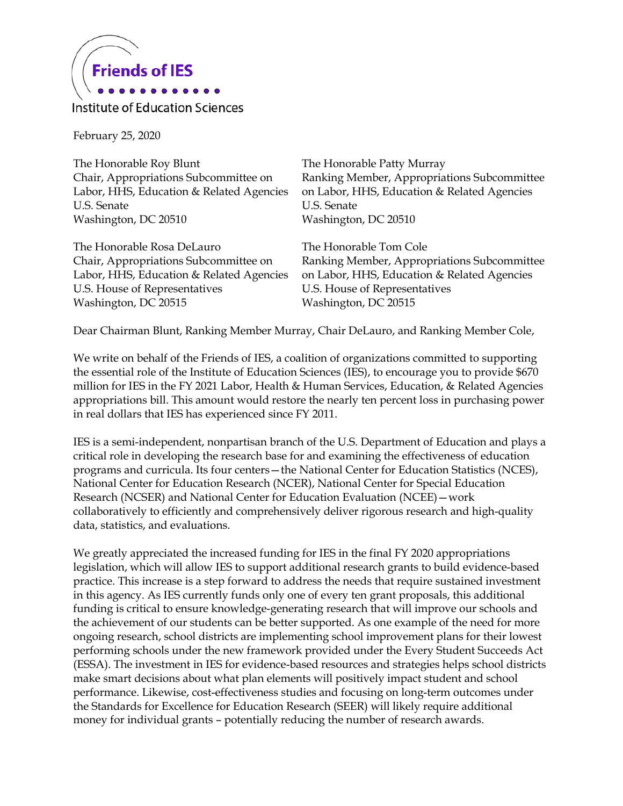

Institute of Education Sciences

February 25, 2020

The Honorable Roy Blunt Chair, Appropriations Subcommittee on Labor, HHS, Education & Related Agencies U.S. Senate Washington, DC 20510

The Honorable Rosa DeLauro Chair, Appropriations Subcommittee on Labor, HHS, Education & Related Agencies U.S. House of Representatives Washington, DC 20515

The Honorable Patty Murray Ranking Member, Appropriations Subcommittee on Labor, HHS, Education & Related Agencies U.S. Senate Washington, DC 20510

The Honorable Tom Cole Ranking Member, Appropriations Subcommittee on Labor, HHS, Education & Related Agencies U.S. House of Representatives Washington, DC 20515

Dear Chairman Blunt, Ranking Member Murray, Chair DeLauro, and Ranking Member Cole,

We write on behalf of the Friends of IES, a coalition of organizations committed to supporting the essential role of the Institute of Education Sciences (IES), to encourage you to provide \$670 million for IES in the FY 2021 Labor, Health & Human Services, Education, & Related Agencies appropriations bill. This amount would restore the nearly ten percent loss in purchasing power in real dollars that IES has experienced since FY 2011.

IES is a semi-independent, nonpartisan branch of the U.S. Department of Education and plays a critical role in developing the research base for and examining the effectiveness of education programs and curricula. Its four centers—the National Center for Education Statistics (NCES), National Center for Education Research (NCER), National Center for Special Education Research (NCSER) and National Center for Education Evaluation (NCEE)—work collaboratively to efficiently and comprehensively deliver rigorous research and high-quality data, statistics, and evaluations.

We greatly appreciated the increased funding for IES in the final FY 2020 appropriations legislation, which will allow IES to support additional research grants to build evidence-based practice. This increase is a step forward to address the needs that require sustained investment in this agency. As IES currently funds only one of every ten grant proposals, this additional funding is critical to ensure knowledge-generating research that will improve our schools and the achievement of our students can be better supported. As one example of the need for more ongoing research, school districts are implementing school improvement plans for their lowest performing schools under the new framework provided under the Every Student Succeeds Act (ESSA). The investment in IES for evidence-based resources and strategies helps school districts make smart decisions about what plan elements will positively impact student and school performance. Likewise, cost-effectiveness studies and focusing on long-term outcomes under the Standards for Excellence for Education Research (SEER) will likely require additional money for individual grants – potentially reducing the number of research awards.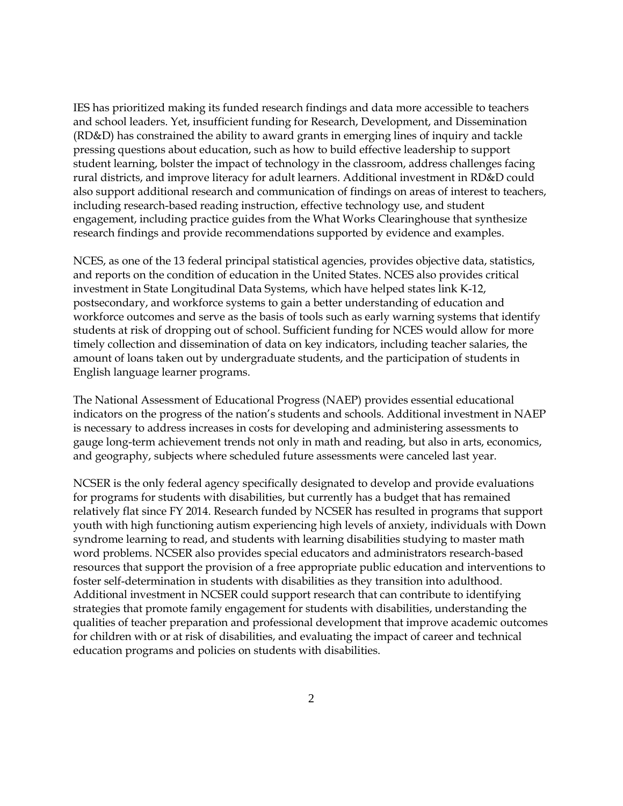IES has prioritized making its funded research findings and data more accessible to teachers and school leaders. Yet, insufficient funding for Research, Development, and Dissemination (RD&D) has constrained the ability to award grants in emerging lines of inquiry and tackle pressing questions about education, such as how to build effective leadership to support student learning, bolster the impact of technology in the classroom, address challenges facing rural districts, and improve literacy for adult learners. Additional investment in RD&D could also support additional research and communication of findings on areas of interest to teachers, including research-based reading instruction, effective technology use, and student engagement, including practice guides from the What Works Clearinghouse that synthesize research findings and provide recommendations supported by evidence and examples.

NCES, as one of the 13 federal principal statistical agencies, provides objective data, statistics, and reports on the condition of education in the United States. NCES also provides critical investment in State Longitudinal Data Systems, which have helped states link K-12, postsecondary, and workforce systems to gain a better understanding of education and workforce outcomes and serve as the basis of tools such as early warning systems that identify students at risk of dropping out of school. Sufficient funding for NCES would allow for more timely collection and dissemination of data on key indicators, including teacher salaries, the amount of loans taken out by undergraduate students, and the participation of students in English language learner programs.

The National Assessment of Educational Progress (NAEP) provides essential educational indicators on the progress of the nation's students and schools. Additional investment in NAEP is necessary to address increases in costs for developing and administering assessments to gauge long-term achievement trends not only in math and reading, but also in arts, economics, and geography, subjects where scheduled future assessments were canceled last year.

NCSER is the only federal agency specifically designated to develop and provide evaluations for programs for students with disabilities, but currently has a budget that has remained relatively flat since FY 2014. Research funded by NCSER has resulted in programs that support youth with high functioning autism experiencing high levels of anxiety, individuals with Down syndrome learning to read, and students with learning disabilities studying to master math word problems. NCSER also provides special educators and administrators research-based resources that support the provision of a free appropriate public education and interventions to foster self-determination in students with disabilities as they transition into adulthood. Additional investment in NCSER could support research that can contribute to identifying strategies that promote family engagement for students with disabilities, understanding the qualities of teacher preparation and professional development that improve academic outcomes for children with or at risk of disabilities, and evaluating the impact of career and technical education programs and policies on students with disabilities.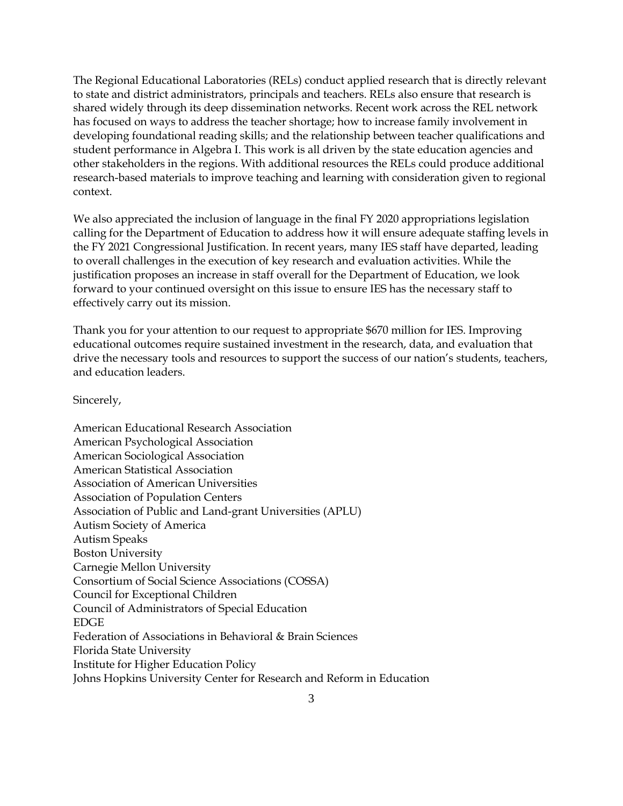The Regional Educational Laboratories (RELs) conduct applied research that is directly relevant to state and district administrators, principals and teachers. RELs also ensure that research is shared widely through its deep dissemination networks. Recent work across the REL network has focused on ways to address the teacher shortage; how to increase family involvement in developing foundational reading skills; and the relationship between teacher qualifications and student performance in Algebra I. This work is all driven by the state education agencies and other stakeholders in the regions. With additional resources the RELs could produce additional research-based materials to improve teaching and learning with consideration given to regional context.

We also appreciated the inclusion of language in the final FY 2020 appropriations legislation calling for the Department of Education to address how it will ensure adequate staffing levels in the FY 2021 Congressional Justification. In recent years, many IES staff have departed, leading to overall challenges in the execution of key research and evaluation activities. While the justification proposes an increase in staff overall for the Department of Education, we look forward to your continued oversight on this issue to ensure IES has the necessary staff to effectively carry out its mission.

Thank you for your attention to our request to appropriate \$670 million for IES. Improving educational outcomes require sustained investment in the research, data, and evaluation that drive the necessary tools and resources to support the success of our nation's students, teachers, and education leaders.

Sincerely,

American Educational Research Association American Psychological Association American Sociological Association American Statistical Association Association of American Universities Association of Population Centers Association of Public and Land-grant Universities (APLU) Autism Society of America Autism Speaks Boston University Carnegie Mellon University Consortium of Social Science Associations (COSSA) Council for Exceptional Children Council of Administrators of Special Education EDGE Federation of Associations in Behavioral & Brain Sciences Florida State University Institute for Higher Education Policy Johns Hopkins University Center for Research and Reform in Education